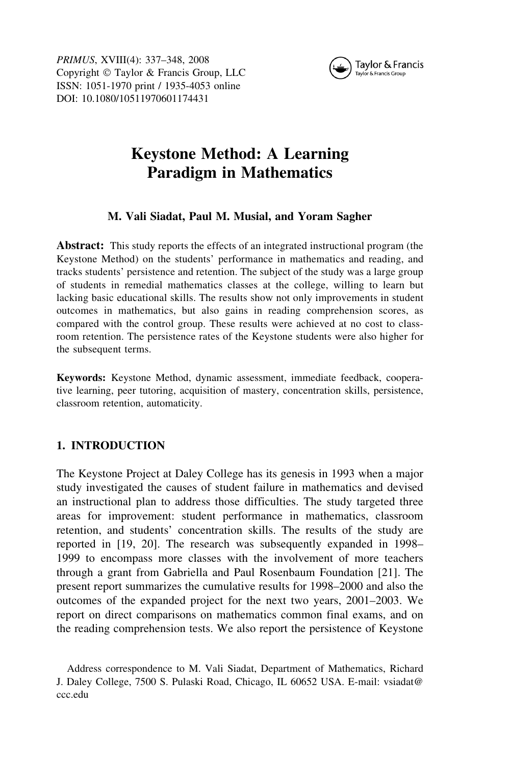

PRIMUS, XVIII(4): 337–348, 2008 Copyright © Taylor & Francis Group, LLC ISSN: 1051-1970 print / 1935-4053 online DOI: 10.1080/10511970601174431

# Keystone Method: A Learning Paradigm in Mathematics

## M. Vali Siadat, Paul M. Musial, and Yoram Sagher

Abstract: This study reports the effects of an integrated instructional program (the Keystone Method) on the students' performance in mathematics and reading, and tracks students' persistence and retention. The subject of the study was a large group of students in remedial mathematics classes at the college, willing to learn but lacking basic educational skills. The results show not only improvements in student outcomes in mathematics, but also gains in reading comprehension scores, as compared with the control group. These results were achieved at no cost to classroom retention. The persistence rates of the Keystone students were also higher for the subsequent terms.

Keywords: Keystone Method, dynamic assessment, immediate feedback, cooperative learning, peer tutoring, acquisition of mastery, concentration skills, persistence, classroom retention, automaticity.

## 1. INTRODUCTION

The Keystone Project at Daley College has its genesis in 1993 when a major study investigated the causes of student failure in mathematics and devised an instructional plan to address those difficulties. The study targeted three areas for improvement: student performance in mathematics, classroom retention, and students' concentration skills. The results of the study are reported in [19, 20]. The research was subsequently expanded in 1998– 1999 to encompass more classes with the involvement of more teachers through a grant from Gabriella and Paul Rosenbaum Foundation [21]. The present report summarizes the cumulative results for 1998–2000 and also the outcomes of the expanded project for the next two years, 2001–2003. We report on direct comparisons on mathematics common final exams, and on the reading comprehension tests. We also report the persistence of Keystone

Address correspondence to M. Vali Siadat, Department of Mathematics, Richard J. Daley College, 7500 S. Pulaski Road, Chicago, IL 60652 USA. E-mail: vsiadat@ ccc.edu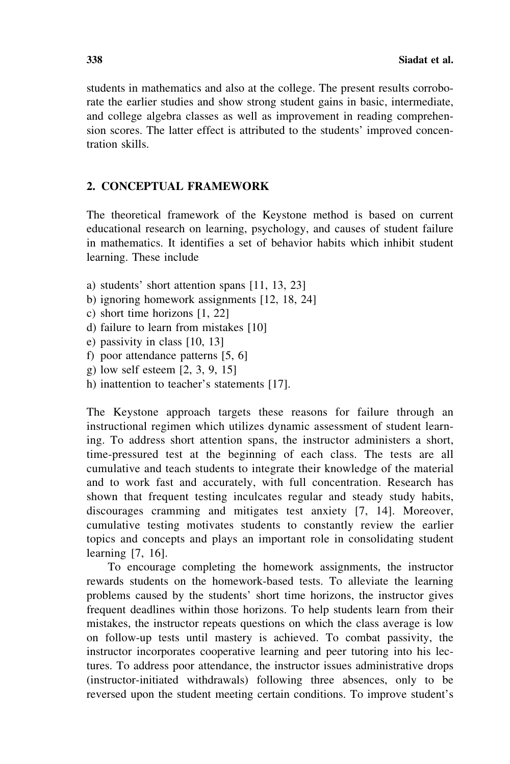students in mathematics and also at the college. The present results corroborate the earlier studies and show strong student gains in basic, intermediate, and college algebra classes as well as improvement in reading comprehension scores. The latter effect is attributed to the students' improved concentration skills.

### 2. CONCEPTUAL FRAMEWORK

The theoretical framework of the Keystone method is based on current educational research on learning, psychology, and causes of student failure in mathematics. It identifies a set of behavior habits which inhibit student learning. These include

- a) students' short attention spans [11, 13, 23]
- b) ignoring homework assignments [12, 18, 24]
- c) short time horizons [1, 22]
- d) failure to learn from mistakes [10]
- e) passivity in class [10, 13]
- f) poor attendance patterns [5, 6]
- g) low self esteem [2, 3, 9, 15]
- h) inattention to teacher's statements [17].

The Keystone approach targets these reasons for failure through an instructional regimen which utilizes dynamic assessment of student learning. To address short attention spans, the instructor administers a short, time-pressured test at the beginning of each class. The tests are all cumulative and teach students to integrate their knowledge of the material and to work fast and accurately, with full concentration. Research has shown that frequent testing inculcates regular and steady study habits, discourages cramming and mitigates test anxiety [7, 14]. Moreover, cumulative testing motivates students to constantly review the earlier topics and concepts and plays an important role in consolidating student learning [7, 16].

To encourage completing the homework assignments, the instructor rewards students on the homework-based tests. To alleviate the learning problems caused by the students' short time horizons, the instructor gives frequent deadlines within those horizons. To help students learn from their mistakes, the instructor repeats questions on which the class average is low on follow-up tests until mastery is achieved. To combat passivity, the instructor incorporates cooperative learning and peer tutoring into his lectures. To address poor attendance, the instructor issues administrative drops (instructor-initiated withdrawals) following three absences, only to be reversed upon the student meeting certain conditions. To improve student's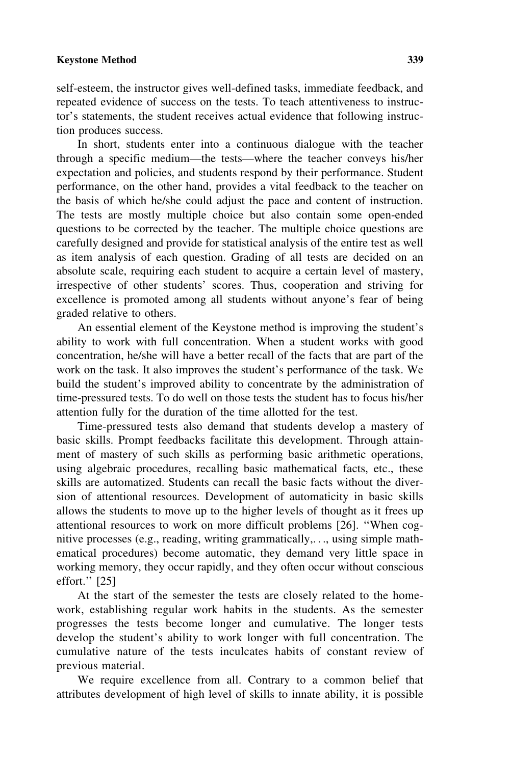#### Keystone Method 339

self-esteem, the instructor gives well-defined tasks, immediate feedback, and repeated evidence of success on the tests. To teach attentiveness to instructor's statements, the student receives actual evidence that following instruction produces success.

In short, students enter into a continuous dialogue with the teacher through a specific medium—the tests—where the teacher conveys his/her expectation and policies, and students respond by their performance. Student performance, on the other hand, provides a vital feedback to the teacher on the basis of which he/she could adjust the pace and content of instruction. The tests are mostly multiple choice but also contain some open-ended questions to be corrected by the teacher. The multiple choice questions are carefully designed and provide for statistical analysis of the entire test as well as item analysis of each question. Grading of all tests are decided on an absolute scale, requiring each student to acquire a certain level of mastery, irrespective of other students' scores. Thus, cooperation and striving for excellence is promoted among all students without anyone's fear of being graded relative to others.

An essential element of the Keystone method is improving the student's ability to work with full concentration. When a student works with good concentration, he/she will have a better recall of the facts that are part of the work on the task. It also improves the student's performance of the task. We build the student's improved ability to concentrate by the administration of time-pressured tests. To do well on those tests the student has to focus his/her attention fully for the duration of the time allotted for the test.

Time-pressured tests also demand that students develop a mastery of basic skills. Prompt feedbacks facilitate this development. Through attainment of mastery of such skills as performing basic arithmetic operations, using algebraic procedures, recalling basic mathematical facts, etc., these skills are automatized. Students can recall the basic facts without the diversion of attentional resources. Development of automaticity in basic skills allows the students to move up to the higher levels of thought as it frees up attentional resources to work on more difficult problems [26]. ''When cognitive processes (e.g., reading, writing grammatically,. . ., using simple mathematical procedures) become automatic, they demand very little space in working memory, they occur rapidly, and they often occur without conscious effort.'' [25]

At the start of the semester the tests are closely related to the homework, establishing regular work habits in the students. As the semester progresses the tests become longer and cumulative. The longer tests develop the student's ability to work longer with full concentration. The cumulative nature of the tests inculcates habits of constant review of previous material.

We require excellence from all. Contrary to a common belief that attributes development of high level of skills to innate ability, it is possible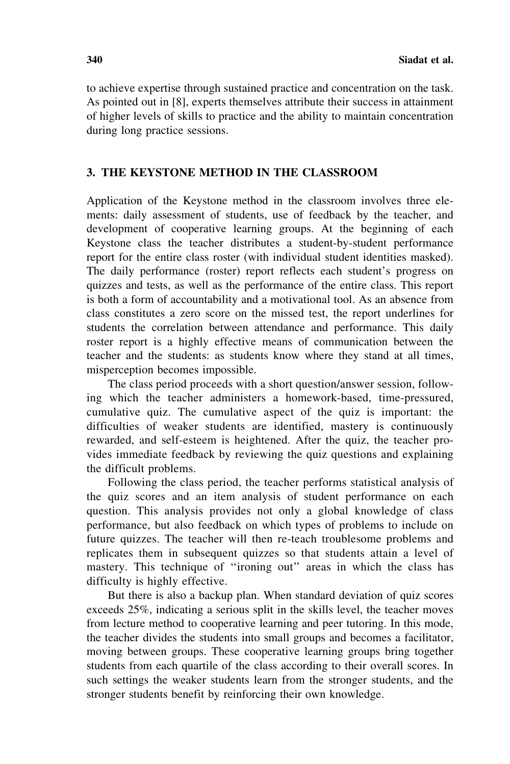to achieve expertise through sustained practice and concentration on the task. As pointed out in [8], experts themselves attribute their success in attainment of higher levels of skills to practice and the ability to maintain concentration during long practice sessions.

#### 3. THE KEYSTONE METHOD IN THE CLASSROOM

Application of the Keystone method in the classroom involves three elements: daily assessment of students, use of feedback by the teacher, and development of cooperative learning groups. At the beginning of each Keystone class the teacher distributes a student-by-student performance report for the entire class roster (with individual student identities masked). The daily performance (roster) report reflects each student's progress on quizzes and tests, as well as the performance of the entire class. This report is both a form of accountability and a motivational tool. As an absence from class constitutes a zero score on the missed test, the report underlines for students the correlation between attendance and performance. This daily roster report is a highly effective means of communication between the teacher and the students: as students know where they stand at all times, misperception becomes impossible.

The class period proceeds with a short question/answer session, following which the teacher administers a homework-based, time-pressured, cumulative quiz. The cumulative aspect of the quiz is important: the difficulties of weaker students are identified, mastery is continuously rewarded, and self-esteem is heightened. After the quiz, the teacher provides immediate feedback by reviewing the quiz questions and explaining the difficult problems.

Following the class period, the teacher performs statistical analysis of the quiz scores and an item analysis of student performance on each question. This analysis provides not only a global knowledge of class performance, but also feedback on which types of problems to include on future quizzes. The teacher will then re-teach troublesome problems and replicates them in subsequent quizzes so that students attain a level of mastery. This technique of "ironing out" areas in which the class has difficulty is highly effective.

But there is also a backup plan. When standard deviation of quiz scores exceeds 25%, indicating a serious split in the skills level, the teacher moves from lecture method to cooperative learning and peer tutoring. In this mode, the teacher divides the students into small groups and becomes a facilitator, moving between groups. These cooperative learning groups bring together students from each quartile of the class according to their overall scores. In such settings the weaker students learn from the stronger students, and the stronger students benefit by reinforcing their own knowledge.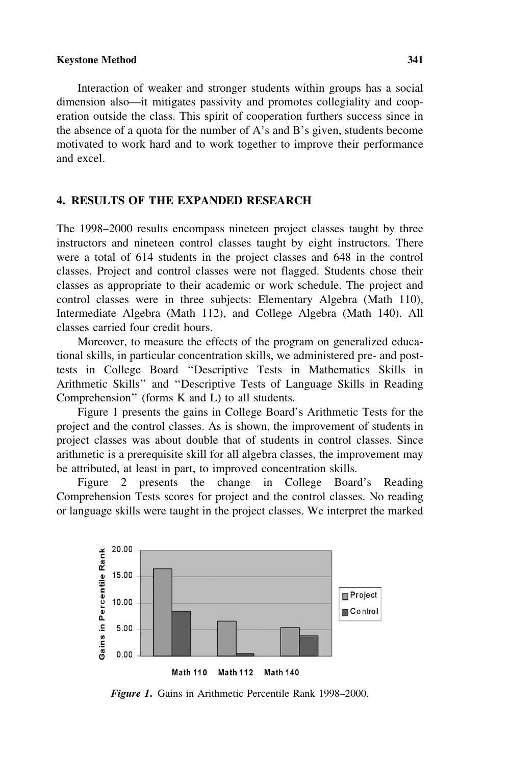#### Keystone Method 341

Interaction of weaker and stronger students within groups has a social dimension also—it mitigates passivity and promotes collegiality and cooperation outside the class. This spirit of cooperation furthers success since in the absence of a quota for the number of A's and B's given, students become motivated to work hard and to work together to improve their performance and excel.

#### 4. RESULTS OF THE EXPANDED RESEARCH

The 1998–2000 results encompass nineteen project classes taught by three instructors and nineteen control classes taught by eight instructors. There were a total of 614 students in the project classes and 648 in the control classes. Project and control classes were not flagged. Students chose their classes as appropriate to their academic or work schedule. The project and control classes were in three subjects: Elementary Algebra (Math 110), Intermediate Algebra (Math 112), and College Algebra (Math 140). All classes carried four credit hours.

Moreover, to measure the effects of the program on generalized educational skills, in particular concentration skills, we administered pre- and posttests in College Board ''Descriptive Tests in Mathematics Skills in Arithmetic Skills'' and ''Descriptive Tests of Language Skills in Reading Comprehension'' (forms K and L) to all students.

Figure 1 presents the gains in College Board's Arithmetic Tests for the project and the control classes. As is shown, the improvement of students in project classes was about double that of students in control classes. Since arithmetic is a prerequisite skill for all algebra classes, the improvement may be attributed, at least in part, to improved concentration skills.

Figure 2 presents the change in College Board's Reading Comprehension Tests scores for project and the control classes. No reading or language skills were taught in the project classes. We interpret the marked



Figure 1. Gains in Arithmetic Percentile Rank 1998–2000.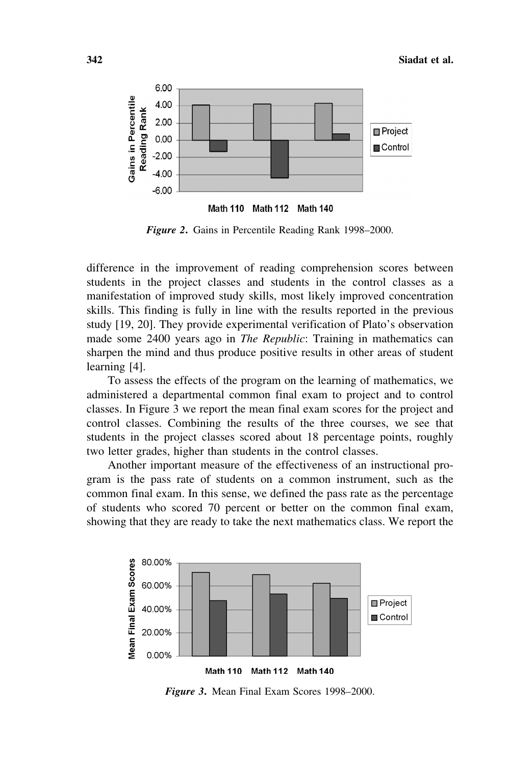

Figure 2. Gains in Percentile Reading Rank 1998–2000.

difference in the improvement of reading comprehension scores between students in the project classes and students in the control classes as a manifestation of improved study skills, most likely improved concentration skills. This finding is fully in line with the results reported in the previous study [19, 20]. They provide experimental verification of Plato's observation made some 2400 years ago in *The Republic*: Training in mathematics can sharpen the mind and thus produce positive results in other areas of student learning [4].

To assess the effects of the program on the learning of mathematics, we administered a departmental common final exam to project and to control classes. In Figure 3 we report the mean final exam scores for the project and control classes. Combining the results of the three courses, we see that students in the project classes scored about 18 percentage points, roughly two letter grades, higher than students in the control classes.

Another important measure of the effectiveness of an instructional program is the pass rate of students on a common instrument, such as the common final exam. In this sense, we defined the pass rate as the percentage of students who scored 70 percent or better on the common final exam, showing that they are ready to take the next mathematics class. We report the



Figure 3. Mean Final Exam Scores 1998–2000.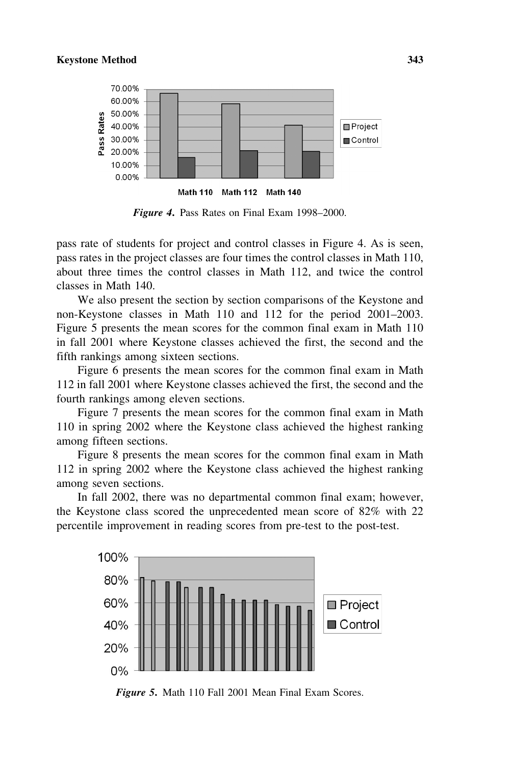

Figure 4. Pass Rates on Final Exam 1998–2000.

pass rate of students for project and control classes in Figure 4. As is seen, pass rates in the project classes are four times the control classes in Math 110, about three times the control classes in Math 112, and twice the control classes in Math 140.

We also present the section by section comparisons of the Keystone and non-Keystone classes in Math 110 and 112 for the period 2001–2003. Figure 5 presents the mean scores for the common final exam in Math 110 in fall 2001 where Keystone classes achieved the first, the second and the fifth rankings among sixteen sections.

Figure 6 presents the mean scores for the common final exam in Math 112 in fall 2001 where Keystone classes achieved the first, the second and the fourth rankings among eleven sections.

Figure 7 presents the mean scores for the common final exam in Math 110 in spring 2002 where the Keystone class achieved the highest ranking among fifteen sections.

Figure 8 presents the mean scores for the common final exam in Math 112 in spring 2002 where the Keystone class achieved the highest ranking among seven sections.

In fall 2002, there was no departmental common final exam; however, the Keystone class scored the unprecedented mean score of 82% with 22 percentile improvement in reading scores from pre-test to the post-test.



Figure 5. Math 110 Fall 2001 Mean Final Exam Scores.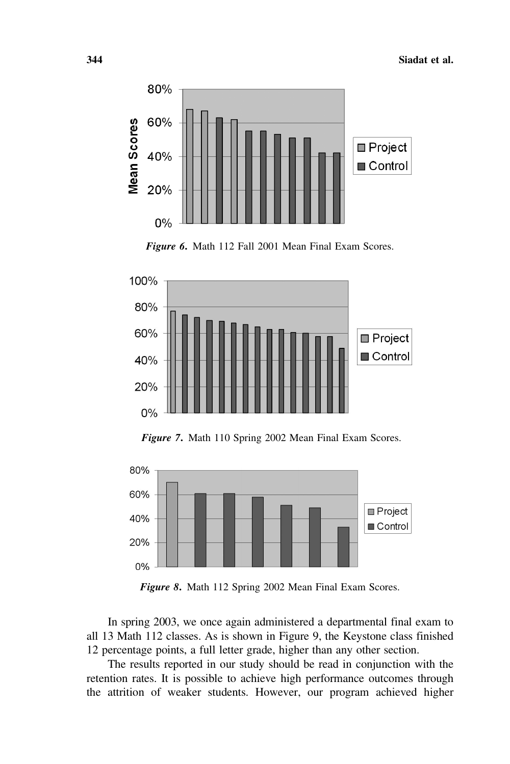





Figure 7. Math 110 Spring 2002 Mean Final Exam Scores.



Figure 8. Math 112 Spring 2002 Mean Final Exam Scores.

In spring 2003, we once again administered a departmental final exam to all 13 Math 112 classes. As is shown in Figure 9, the Keystone class finished 12 percentage points, a full letter grade, higher than any other section.

The results reported in our study should be read in conjunction with the retention rates. It is possible to achieve high performance outcomes through the attrition of weaker students. However, our program achieved higher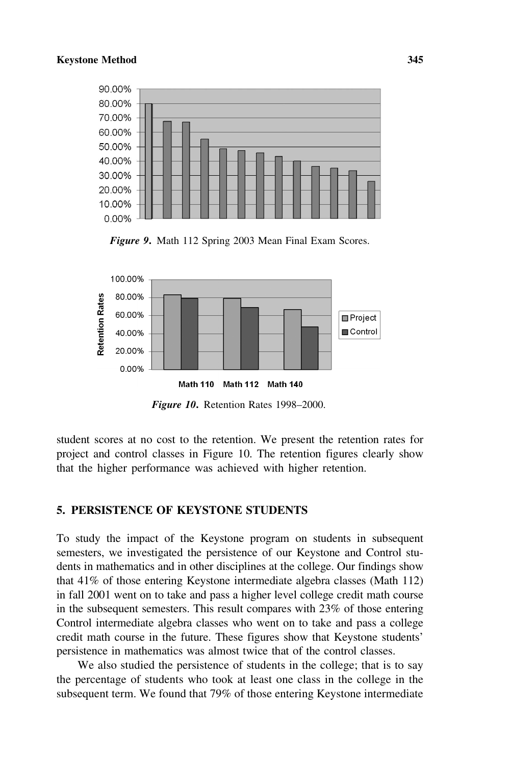

Figure 9. Math 112 Spring 2003 Mean Final Exam Scores.



Figure 10. Retention Rates 1998-2000.

student scores at no cost to the retention. We present the retention rates for project and control classes in Figure 10. The retention figures clearly show that the higher performance was achieved with higher retention.

#### 5. PERSISTENCE OF KEYSTONE STUDENTS

To study the impact of the Keystone program on students in subsequent semesters, we investigated the persistence of our Keystone and Control students in mathematics and in other disciplines at the college. Our findings show that 41% of those entering Keystone intermediate algebra classes (Math 112) in fall 2001 went on to take and pass a higher level college credit math course in the subsequent semesters. This result compares with 23% of those entering Control intermediate algebra classes who went on to take and pass a college credit math course in the future. These figures show that Keystone students' persistence in mathematics was almost twice that of the control classes.

We also studied the persistence of students in the college; that is to say the percentage of students who took at least one class in the college in the subsequent term. We found that 79% of those entering Keystone intermediate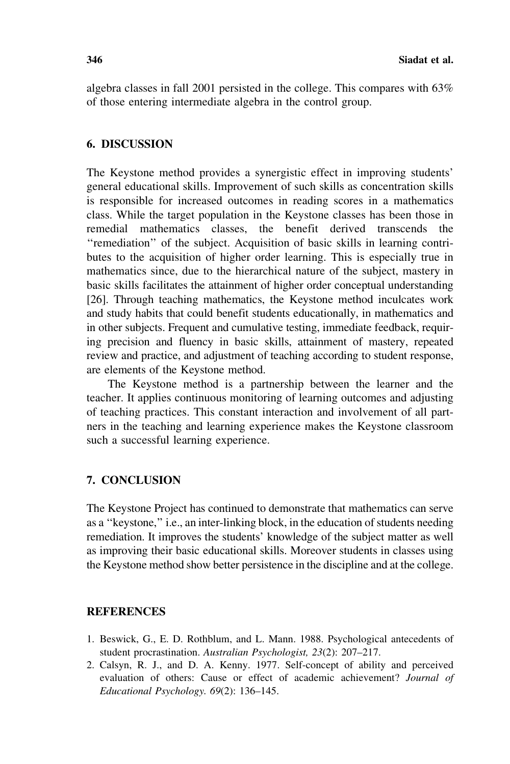algebra classes in fall 2001 persisted in the college. This compares with 63% of those entering intermediate algebra in the control group.

#### 6. DISCUSSION

The Keystone method provides a synergistic effect in improving students' general educational skills. Improvement of such skills as concentration skills is responsible for increased outcomes in reading scores in a mathematics class. While the target population in the Keystone classes has been those in remedial mathematics classes, the benefit derived transcends the ''remediation'' of the subject. Acquisition of basic skills in learning contributes to the acquisition of higher order learning. This is especially true in mathematics since, due to the hierarchical nature of the subject, mastery in basic skills facilitates the attainment of higher order conceptual understanding [26]. Through teaching mathematics, the Keystone method inculcates work and study habits that could benefit students educationally, in mathematics and in other subjects. Frequent and cumulative testing, immediate feedback, requiring precision and fluency in basic skills, attainment of mastery, repeated review and practice, and adjustment of teaching according to student response, are elements of the Keystone method.

The Keystone method is a partnership between the learner and the teacher. It applies continuous monitoring of learning outcomes and adjusting of teaching practices. This constant interaction and involvement of all partners in the teaching and learning experience makes the Keystone classroom such a successful learning experience.

### 7. CONCLUSION

The Keystone Project has continued to demonstrate that mathematics can serve as a ''keystone,'' i.e., an inter-linking block, in the education of students needing remediation. It improves the students' knowledge of the subject matter as well as improving their basic educational skills. Moreover students in classes using the Keystone method show better persistence in the discipline and at the college.

### **REFERENCES**

- 1. Beswick, G., E. D. Rothblum, and L. Mann. 1988. Psychological antecedents of student procrastination. Australian Psychologist, 23(2): 207-217.
- 2. Calsyn, R. J., and D. A. Kenny. 1977. Self-concept of ability and perceived evaluation of others: Cause or effect of academic achievement? Journal of Educational Psychology. 69(2): 136–145.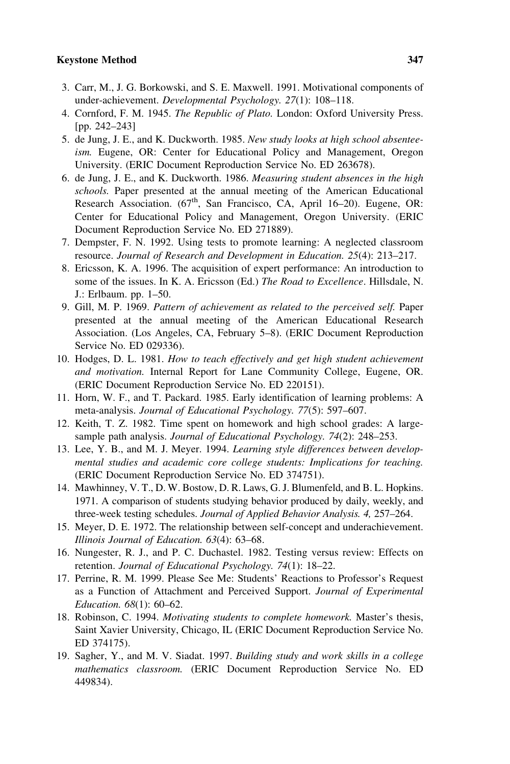#### Keystone Method 347

- 3. Carr, M., J. G. Borkowski, and S. E. Maxwell. 1991. Motivational components of under-achievement. Developmental Psychology. 27(1): 108-118.
- 4. Cornford, F. M. 1945. The Republic of Plato. London: Oxford University Press. [pp. 242–243]
- 5. de Jung, J. E., and K. Duckworth. 1985. New study looks at high school absenteeism. Eugene, OR: Center for Educational Policy and Management, Oregon University. (ERIC Document Reproduction Service No. ED 263678).
- 6. de Jung, J. E., and K. Duckworth. 1986. Measuring student absences in the high schools. Paper presented at the annual meeting of the American Educational Research Association. (67<sup>th</sup>, San Francisco, CA, April 16–20). Eugene, OR: Center for Educational Policy and Management, Oregon University. (ERIC Document Reproduction Service No. ED 271889).
- 7. Dempster, F. N. 1992. Using tests to promote learning: A neglected classroom resource. Journal of Research and Development in Education. 25(4): 213–217.
- 8. Ericsson, K. A. 1996. The acquisition of expert performance: An introduction to some of the issues. In K. A. Ericsson (Ed.) The Road to Excellence. Hillsdale, N. J.: Erlbaum. pp. 1–50.
- 9. Gill, M. P. 1969. Pattern of achievement as related to the perceived self. Paper presented at the annual meeting of the American Educational Research Association. (Los Angeles, CA, February 5–8). (ERIC Document Reproduction Service No. ED 029336).
- 10. Hodges, D. L. 1981. How to teach effectively and get high student achievement and motivation. Internal Report for Lane Community College, Eugene, OR. (ERIC Document Reproduction Service No. ED 220151).
- 11. Horn, W. F., and T. Packard. 1985. Early identification of learning problems: A meta-analysis. Journal of Educational Psychology. 77(5): 597–607.
- 12. Keith, T. Z. 1982. Time spent on homework and high school grades: A largesample path analysis. Journal of Educational Psychology. 74(2): 248–253.
- 13. Lee, Y. B., and M. J. Meyer. 1994. Learning style differences between developmental studies and academic core college students: Implications for teaching. (ERIC Document Reproduction Service No. ED 374751).
- 14. Mawhinney, V. T., D. W. Bostow, D. R. Laws, G. J. Blumenfeld, and B. L. Hopkins. 1971. A comparison of students studying behavior produced by daily, weekly, and three-week testing schedules. Journal of Applied Behavior Analysis. 4, 257–264.
- 15. Meyer, D. E. 1972. The relationship between self-concept and underachievement. Illinois Journal of Education. 63(4): 63–68.
- 16. Nungester, R. J., and P. C. Duchastel. 1982. Testing versus review: Effects on retention. Journal of Educational Psychology. 74(1): 18-22.
- 17. Perrine, R. M. 1999. Please See Me: Students' Reactions to Professor's Request as a Function of Attachment and Perceived Support. Journal of Experimental Education. 68(1): 60–62.
- 18. Robinson, C. 1994. Motivating students to complete homework. Master's thesis, Saint Xavier University, Chicago, IL (ERIC Document Reproduction Service No. ED 374175).
- 19. Sagher, Y., and M. V. Siadat. 1997. Building study and work skills in a college mathematics classroom. (ERIC Document Reproduction Service No. ED 449834).